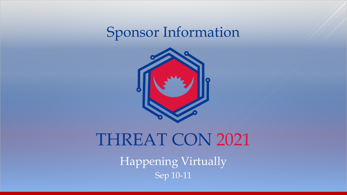



## THREAT CON 2021

Sep 10-11 Happening Virtually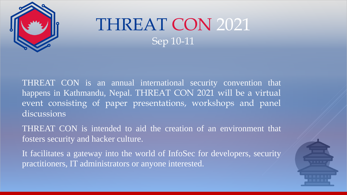

THREAT CON is an annual international security convention that happens in Kathmandu, Nepal. THREAT CON 2021 will be a virtual event consisting of paper presentations, workshops and panel discussions

THREAT CON is intended to aid the creation of an environment that fosters security and hacker culture.

It facilitates a gateway into the world of InfoSec for developers, security practitioners, IT administrators or anyone interested.

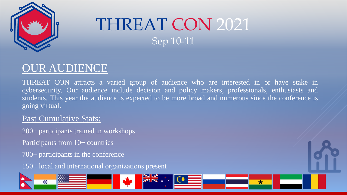

### OUR AUDIENCE

THREAT CON attracts a varied group of audience who are interested in or have stake in cybersecurity. Our audience include decision and policy makers, professionals, enthusiasts and students. This year the audience is expected to be more broad and numerous since the conference is going virtual.

#### Past Cumulative Stats:

200+ participants trained in workshops

Participants from 10+ countries

700+ participants in the conference

150+ local and international organizations present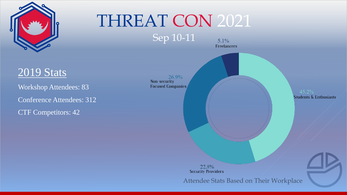

# THREAT CON 2021

Sep 10-11



Workshop Attendees: 83 Conference Attendees: 312 CTF Competitors: 42

 $26.9\%$ Non-security **Focused Companies** 

 $45.2\%$ **Students & Enthusiasts** 

22.8% **Security Providers** 

 $5.1\%$ Freelancers

Attendee Stats Based on Their Workplace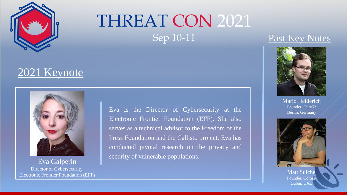

#### 2021 Keynote



Eva Galperin Director of Cybersecurity, Electronic Frontier Foundation (EFF) Eva is the Director of Cybersecurity at the Electronic Frontier Foundation (EFF). She also serves as a technical advisor to the Freedom of the Press Foundation and the Callisto project. Eva has conducted pivotal research on the privacy and security of vulnerable populations.

#### Past Key Notes



Mario Heiderich Founder, Cure53 Berlin, Germany



Matt Suiche Founder, Comae Dubai, UAE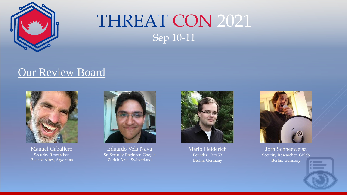

#### Our Review Board



Manuel Caballero Security Researcher, Buenos Aires, Argentina



Eduardo Vela Nava Sr. Security Engineer, Google Zürich Area, Switzerland



Mario Heiderich Founder, Cure53 Berlin, Germany



Jorn Schneeweisz Security Researcher, Gitlab Berlin, Germany

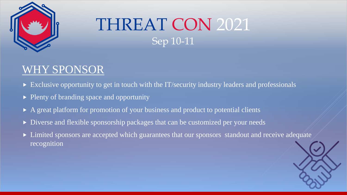

### WHY SPONSOR

- Exclusive opportunity to get in touch with the IT/security industry leaders and professionals
- Plenty of branding space and opportunity
- A great platform for promotion of your business and product to potential clients
- Diverse and flexible sponsorship packages that can be customized per your needs
- **EXTED** Limited sponsors are accepted which guarantees that our sponsors standout and receive adequate recognition

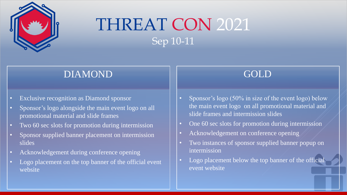

#### DIAMOND GOLD

- Exclusive recognition as Diamond sponsor
- Sponsor's logo alongside the main event logo on all promotional material and slide frames
- Two 60 sec slots for promotion during intermission
- Sponsor supplied banner placement on intermission slides
- Acknowledgement during conference opening
- Logo placement on the top banner of the official event website

- Sponsor's logo (50% in size of the event logo) below the main event logo on all promotional material and slide frames and intermission slides
- One 60 sec slots for promotion during intermission
- Acknowledgement on conference opening
- Two instances of sponsor supplied banner popup on intermission
- Logo placement below the top banner of the official event website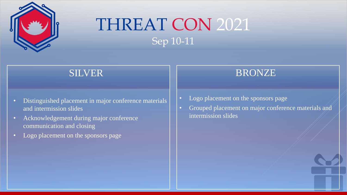

- Distinguished placement in major conference materials and intermission slides
- Acknowledgement during major conference communication and closing
- Logo placement on the sponsors page

#### SILVER RONZE

- Logo placement on the sponsors page
- Grouped placement on major conference materials and intermission slides